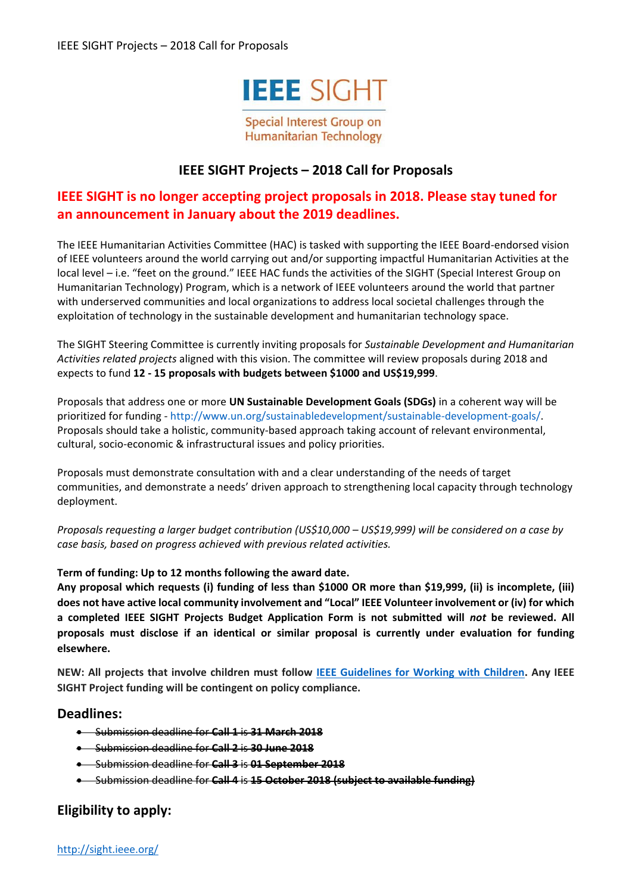

**Special Interest Group on Humanitarian Technology** 

# **IEEE SIGHT Projects – 2018 Call for Proposals**

# **IEEE SIGHT is no longer accepting project proposals in 2018. Please stay tuned for an announcement in January about the 2019 deadlines.**

The IEEE Humanitarian Activities Committee (HAC) is tasked with supporting the IEEE Board-endorsed vision of IEEE volunteers around the world carrying out and/or supporting impactful Humanitarian Activities at the local level – i.e. "feet on the ground." IEEE HAC funds the activities of the SIGHT (Special Interest Group on Humanitarian Technology) Program, which is a network of IEEE volunteers around the world that partner with underserved communities and local organizations to address local societal challenges through the exploitation of technology in the sustainable development and humanitarian technology space.

The SIGHT Steering Committee is currently inviting proposals for *Sustainable Development and Humanitarian Activities related projects* aligned with this vision. The committee will review proposals during 2018 and expects to fund **12 - 15 proposals with budgets between \$1000 and US\$19,999**.

Proposals that address one or more **UN Sustainable Development Goals (SDGs)** in a coherent way will be prioritized for funding - http://www.un.org/sustainabledevelopment/sustainable-development-goals/. Proposals should take a holistic, community-based approach taking account of relevant environmental, cultural, socio-economic & infrastructural issues and policy priorities.

Proposals must demonstrate consultation with and a clear understanding of the needs of target communities, and demonstrate a needs' driven approach to strengthening local capacity through technology deployment.

*Proposals requesting a larger budget contribution (US\$10,000 – US\$19,999) will be considered on a case by case basis, based on progress achieved with previous related activities.* 

### **Term of funding: Up to 12 months following the award date.**

**Any proposal which requests (i) funding of less than \$1000 OR more than \$19,999, (ii) is incomplete, (iii) does not have active local community involvement and "Local" IEEE Volunteer involvement or (iv) for which a completed IEEE SIGHT Projects Budget Application Form is not submitted will** *not* **be reviewed. All proposals must disclose if an identical or similar proposal is currently under evaluation for funding elsewhere.**

**NEW: All projects that involve children must follow [IEEE Guidelines for Working with Children.](https://www.ieee.org/about/volunteers/risk-insurance/ieee-activities-with-children.html) Any IEEE SIGHT Project funding will be contingent on policy compliance.**

### **Deadlines:**

- Submission deadline for **Call 1** is **31 March 2018**
- Submission deadline for **Call 2** is **30 June 2018**
- Submission deadline for **Call 3** is **01 September 2018**
- Submission deadline for **Call 4** is **15 October 2018 (subject to available funding)**

# **Eligibility to apply:**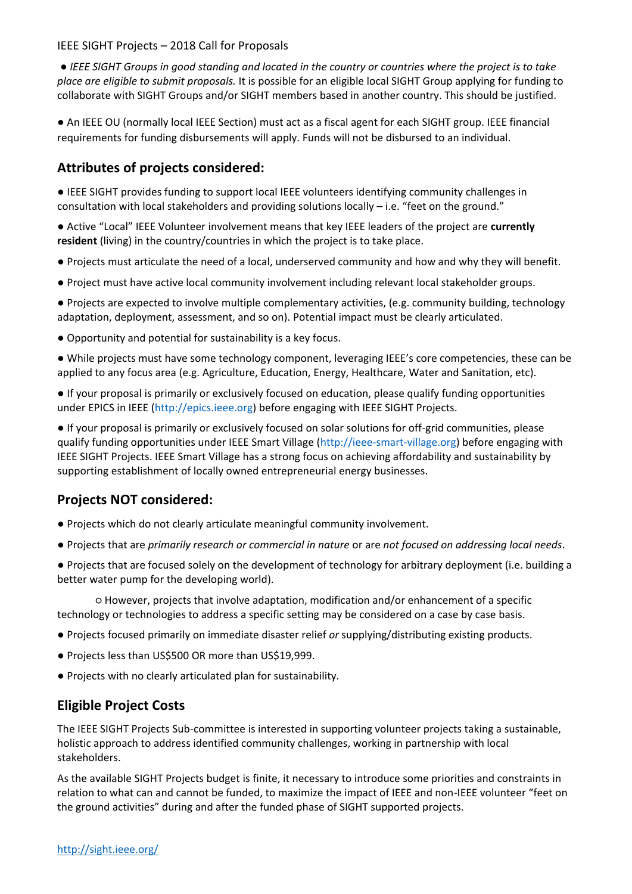● *IEEE SIGHT Groups in good standing and located in the country or countries where the project is to take place are eligible to submit proposals.* It is possible for an eligible local SIGHT Group applying for funding to collaborate with SIGHT Groups and/or SIGHT members based in another country. This should be justified.

● An IEEE OU (normally local IEEE Section) must act as a fiscal agent for each SIGHT group. IEEE financial requirements for funding disbursements will apply. Funds will not be disbursed to an individual.

# **Attributes of projects considered:**

● IEEE SIGHT provides funding to support local IEEE volunteers identifying community challenges in consultation with local stakeholders and providing solutions locally – i.e. "feet on the ground."

● Active "Local" IEEE Volunteer involvement means that key IEEE leaders of the project are **currently resident** (living) in the country/countries in which the project is to take place.

- Projects must articulate the need of a local, underserved community and how and why they will benefit.
- Project must have active local community involvement including relevant local stakeholder groups.

● Projects are expected to involve multiple complementary activities, (e.g. community building, technology adaptation, deployment, assessment, and so on). Potential impact must be clearly articulated.

● Opportunity and potential for sustainability is a key focus.

● While projects must have some technology component, leveraging IEEE's core competencies, these can be applied to any focus area (e.g. Agriculture, Education, Energy, Healthcare, Water and Sanitation, etc).

● If your proposal is primarily or exclusively focused on education, please qualify funding opportunities under EPICS in IEEE (http://epics.ieee.org) before engaging with IEEE SIGHT Projects.

● If your proposal is primarily or exclusively focused on solar solutions for off-grid communities, please qualify funding opportunities under IEEE Smart Village (http://ieee-smart-village.org) before engaging with IEEE SIGHT Projects. IEEE Smart Village has a strong focus on achieving affordability and sustainability by supporting establishment of locally owned entrepreneurial energy businesses.

# **Projects NOT considered:**

- Projects which do not clearly articulate meaningful community involvement.
- Projects that are *primarily research or commercial in nature* or are *not focused on addressing local needs*.
- Projects that are focused solely on the development of technology for arbitrary deployment (i.e. building a better water pump for the developing world).

○ However, projects that involve adaptation, modification and/or enhancement of a specific technology or technologies to address a specific setting may be considered on a case by case basis.

- Projects focused primarily on immediate disaster relief *or* supplying/distributing existing products.
- Projects less than US\$500 OR more than US\$19,999.
- Projects with no clearly articulated plan for sustainability.

# **Eligible Project Costs**

The IEEE SIGHT Projects Sub-committee is interested in supporting volunteer projects taking a sustainable, holistic approach to address identified community challenges, working in partnership with local stakeholders.

As the available SIGHT Projects budget is finite, it necessary to introduce some priorities and constraints in relation to what can and cannot be funded, to maximize the impact of IEEE and non-IEEE volunteer "feet on the ground activities" during and after the funded phase of SIGHT supported projects.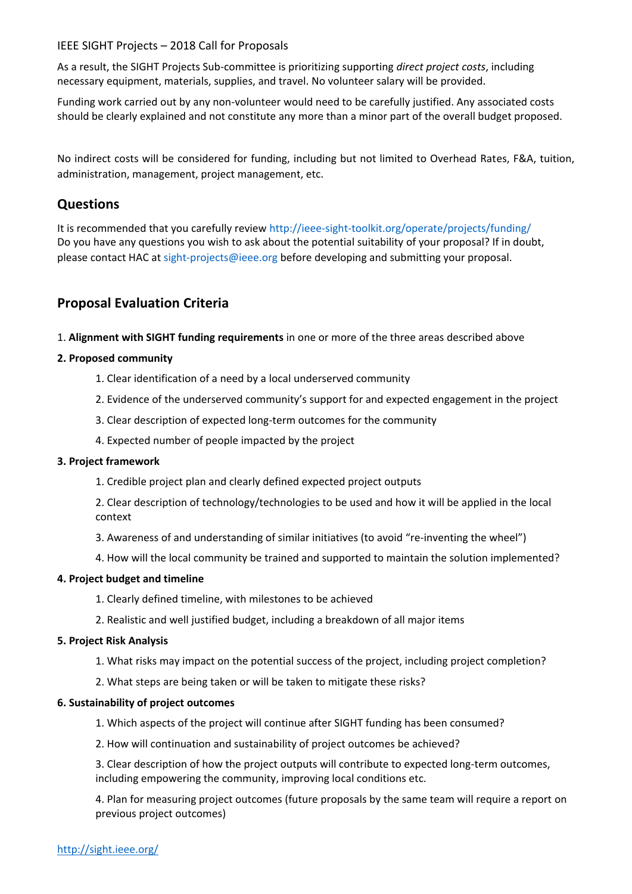As a result, the SIGHT Projects Sub-committee is prioritizing supporting *direct project costs*, including necessary equipment, materials, supplies, and travel. No volunteer salary will be provided.

Funding work carried out by any non-volunteer would need to be carefully justified. Any associated costs should be clearly explained and not constitute any more than a minor part of the overall budget proposed.

No indirect costs will be considered for funding, including but not limited to Overhead Rates, F&A, tuition, administration, management, project management, etc.

### **Questions**

It is recommended that you carefully review http://ieee-sight-toolkit.org/operate/projects/funding/ Do you have any questions you wish to ask about the potential suitability of your proposal? If in doubt, please contact HAC at sight-projects@ieee.org before developing and submitting your proposal.

# **Proposal Evaluation Criteria**

1. **Alignment with SIGHT funding requirements** in one or more of the three areas described above

### **2. Proposed community**

- 1. Clear identification of a need by a local underserved community
- 2. Evidence of the underserved community's support for and expected engagement in the project
- 3. Clear description of expected long-term outcomes for the community
- 4. Expected number of people impacted by the project

#### **3. Project framework**

1. Credible project plan and clearly defined expected project outputs

2. Clear description of technology/technologies to be used and how it will be applied in the local context

- 3. Awareness of and understanding of similar initiatives (to avoid "re-inventing the wheel")
- 4. How will the local community be trained and supported to maintain the solution implemented?

#### **4. Project budget and timeline**

- 1. Clearly defined timeline, with milestones to be achieved
- 2. Realistic and well justified budget, including a breakdown of all major items

#### **5. Project Risk Analysis**

- 1. What risks may impact on the potential success of the project, including project completion?
- 2. What steps are being taken or will be taken to mitigate these risks?

#### **6. Sustainability of project outcomes**

- 1. Which aspects of the project will continue after SIGHT funding has been consumed?
- 2. How will continuation and sustainability of project outcomes be achieved?

3. Clear description of how the project outputs will contribute to expected long-term outcomes, including empowering the community, improving local conditions etc.

4. Plan for measuring project outcomes (future proposals by the same team will require a report on previous project outcomes)